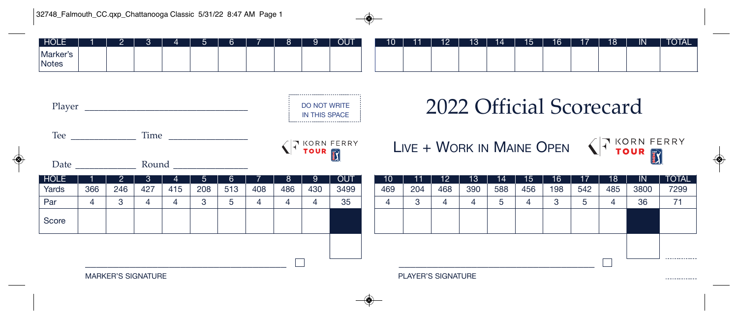